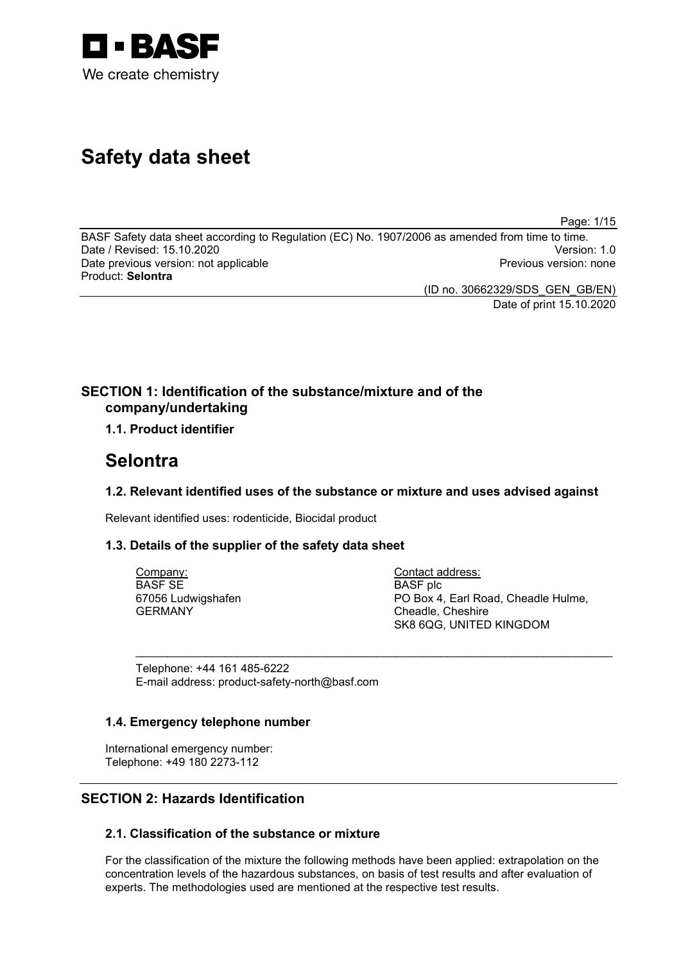

# **Safety data sheet**

Page: 1/15

BASF Safety data sheet according to Regulation (EC) No. 1907/2006 as amended from time to time. Date / Revised: 15.10.2020 Version: 1.0 Date previous version: not applicable Product: **Selontra**

> (ID no. 30662329/SDS\_GEN\_GB/EN) Date of print 15.10.2020

## **SECTION 1: Identification of the substance/mixture and of the company/undertaking**

## **1.1. Product identifier**

## **Selontra**

## **1.2. Relevant identified uses of the substance or mixture and uses advised against**

\_\_\_\_\_\_\_\_\_\_\_\_\_\_\_\_\_\_\_\_\_\_\_\_\_\_\_\_\_\_\_\_\_\_\_\_\_\_\_\_\_\_\_\_\_\_\_\_\_\_\_\_\_\_\_\_\_\_\_\_\_\_\_\_\_\_\_\_\_\_\_\_\_\_\_

Relevant identified uses: rodenticide, Biocidal product

## **1.3. Details of the supplier of the safety data sheet**

Company: BASF SE 67056 Ludwigshafen GERMANY

Contact address: BASF plc PO Box 4, Earl Road, Cheadle Hulme, Cheadle, Cheshire SK8 6QG, UNITED KINGDOM

Telephone: +44 161 485-6222 E-mail address: product-safety-north@basf.com

## **1.4. Emergency telephone number**

International emergency number: Telephone: +49 180 2273-112

## **SECTION 2: Hazards Identification**

## **2.1. Classification of the substance or mixture**

For the classification of the mixture the following methods have been applied: extrapolation on the concentration levels of the hazardous substances, on basis of test results and after evaluation of experts. The methodologies used are mentioned at the respective test results.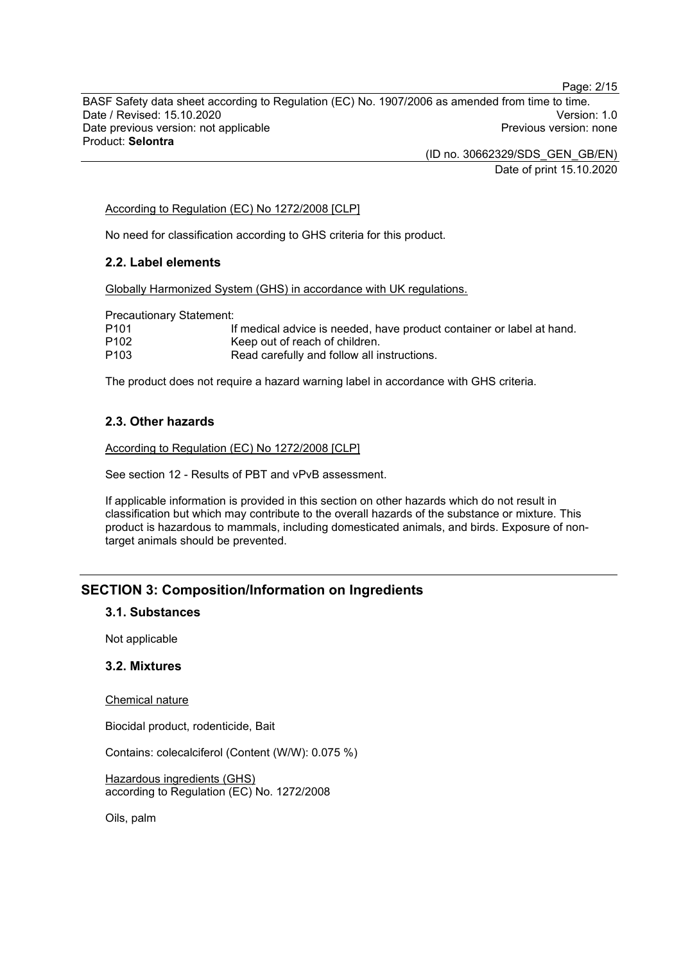BASF Safety data sheet according to Regulation (EC) No. 1907/2006 as amended from time to time. Date / Revised: 15.10.2020<br>Date previous version: not applicable  $\qquad \qquad$   $\qquad \qquad$  Previous version: none Date previous version: not applicable Product: **Selontra**

> (ID no. 30662329/SDS\_GEN\_GB/EN) Date of print 15.10.2020

According to Regulation (EC) No 1272/2008 [CLP]

No need for classification according to GHS criteria for this product.

#### **2.2. Label elements**

Globally Harmonized System (GHS) in accordance with UK regulations.

Precautionary Statement:

| P <sub>101</sub> | If medical advice is needed, have product container or label at hand. |
|------------------|-----------------------------------------------------------------------|
| P <sub>102</sub> | Keep out of reach of children.                                        |

P103 Read carefully and follow all instructions.

The product does not require a hazard warning label in accordance with GHS criteria.

#### **2.3. Other hazards**

According to Regulation (EC) No 1272/2008 [CLP]

See section 12 - Results of PBT and vPvB assessment.

If applicable information is provided in this section on other hazards which do not result in classification but which may contribute to the overall hazards of the substance or mixture. This product is hazardous to mammals, including domesticated animals, and birds. Exposure of nontarget animals should be prevented.

## **SECTION 3: Composition/Information on Ingredients**

#### **3.1. Substances**

Not applicable

#### **3.2. Mixtures**

Chemical nature

Biocidal product, rodenticide, Bait

Contains: colecalciferol (Content (W/W): 0.075 %)

Hazardous ingredients (GHS) according to Regulation (EC) No. 1272/2008

Oils, palm

Page: 2/15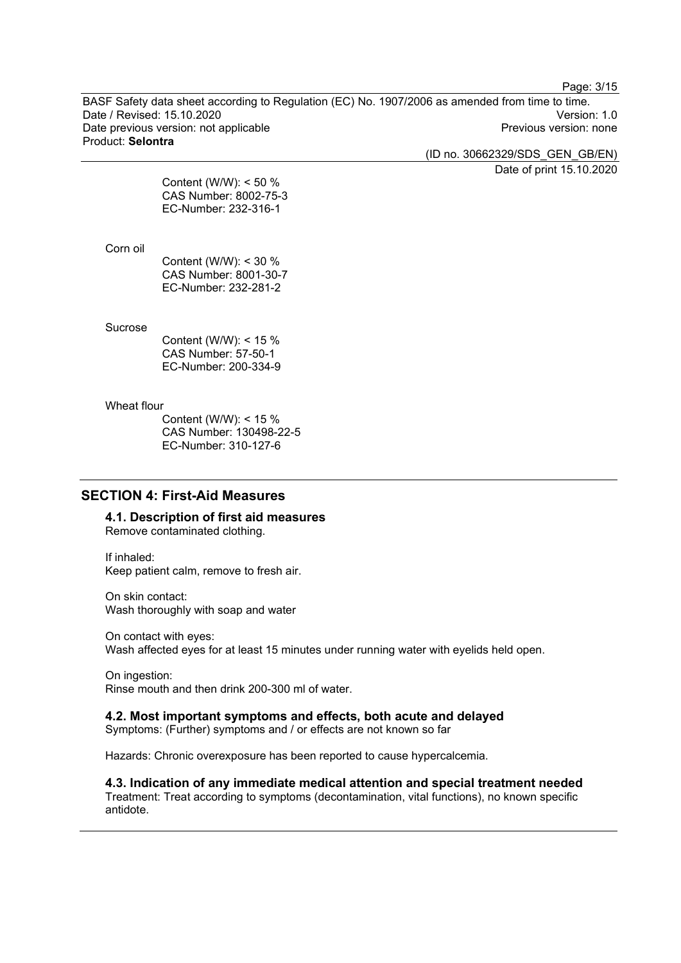Page: 3/15

BASF Safety data sheet according to Regulation (EC) No. 1907/2006 as amended from time to time. Date / Revised: 15.10.2020<br>
Date previous version: not applicable<br>
Date previous version: not applicable<br>
Date previous version: none Date previous version: not applicable Product: **Selontra**

(ID no. 30662329/SDS\_GEN\_GB/EN)

Date of print 15.10.2020

Content (W/W): < 50 % CAS Number: 8002-75-3 EC-Number: 232-316-1

#### Corn oil

Content (W/W): < 30 % CAS Number: 8001-30-7 EC-Number: 232-281-2

#### Sucrose

Content (W/W): < 15 % CAS Number: 57-50-1 EC-Number: 200-334-9

#### Wheat flour

Content (W/W): < 15 % CAS Number: 130498-22-5 EC-Number: 310-127-6

## **SECTION 4: First-Aid Measures**

**4.1. Description of first aid measures**

Remove contaminated clothing.

If inhaled: Keep patient calm, remove to fresh air.

On skin contact: Wash thoroughly with soap and water

On contact with eyes: Wash affected eyes for at least 15 minutes under running water with eyelids held open.

On ingestion: Rinse mouth and then drink 200-300 ml of water.

#### **4.2. Most important symptoms and effects, both acute and delayed**

Symptoms: (Further) symptoms and / or effects are not known so far

Hazards: Chronic overexposure has been reported to cause hypercalcemia.

**4.3. Indication of any immediate medical attention and special treatment needed** Treatment: Treat according to symptoms (decontamination, vital functions), no known specific antidote.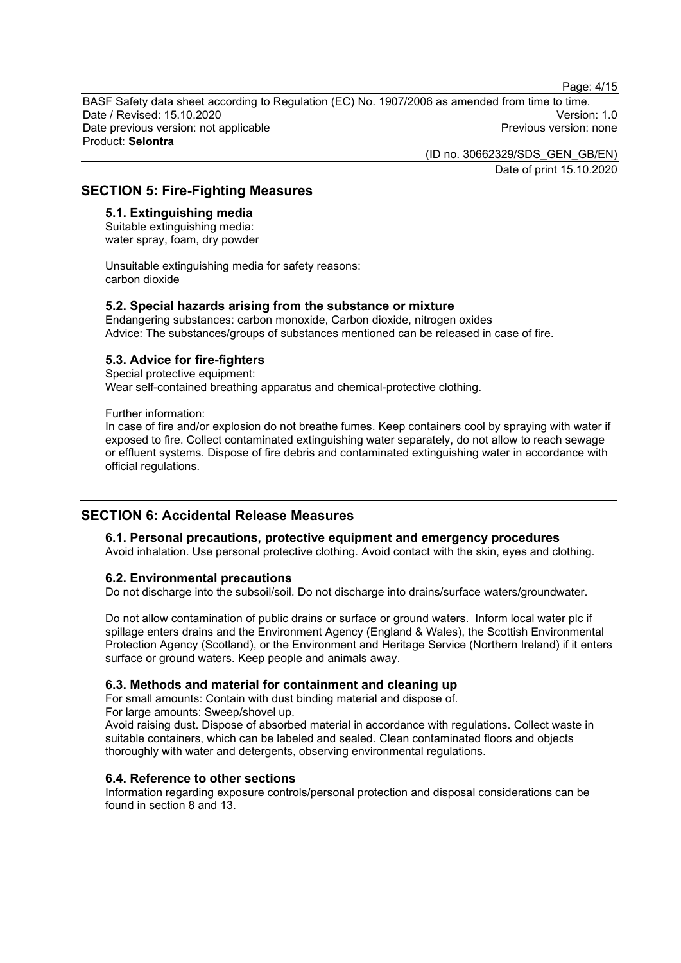Page: 4/15

BASF Safety data sheet according to Regulation (EC) No. 1907/2006 as amended from time to time. Date / Revised: 15.10.2020<br>Date previous version: not applicable  $\qquad \qquad$   $\qquad \qquad$  Previous version: none Date previous version: not applicable Product: **Selontra**

> (ID no. 30662329/SDS\_GEN\_GB/EN) Date of print 15.10.2020

#### **SECTION 5: Fire-Fighting Measures**

#### **5.1. Extinguishing media**

Suitable extinguishing media: water spray, foam, dry powder

Unsuitable extinguishing media for safety reasons: carbon dioxide

#### **5.2. Special hazards arising from the substance or mixture**

Endangering substances: carbon monoxide, Carbon dioxide, nitrogen oxides Advice: The substances/groups of substances mentioned can be released in case of fire.

#### **5.3. Advice for fire-fighters**

Special protective equipment: Wear self-contained breathing apparatus and chemical-protective clothing.

Further information:

In case of fire and/or explosion do not breathe fumes. Keep containers cool by spraying with water if exposed to fire. Collect contaminated extinguishing water separately, do not allow to reach sewage or effluent systems. Dispose of fire debris and contaminated extinguishing water in accordance with official regulations.

## **SECTION 6: Accidental Release Measures**

#### **6.1. Personal precautions, protective equipment and emergency procedures**

Avoid inhalation. Use personal protective clothing. Avoid contact with the skin, eyes and clothing.

#### **6.2. Environmental precautions**

Do not discharge into the subsoil/soil. Do not discharge into drains/surface waters/groundwater.

Do not allow contamination of public drains or surface or ground waters. Inform local water plc if spillage enters drains and the Environment Agency (England & Wales), the Scottish Environmental Protection Agency (Scotland), or the Environment and Heritage Service (Northern Ireland) if it enters surface or ground waters. Keep people and animals away.

#### **6.3. Methods and material for containment and cleaning up**

For small amounts: Contain with dust binding material and dispose of.

For large amounts: Sweep/shovel up.

Avoid raising dust. Dispose of absorbed material in accordance with regulations. Collect waste in suitable containers, which can be labeled and sealed. Clean contaminated floors and objects thoroughly with water and detergents, observing environmental regulations.

#### **6.4. Reference to other sections**

Information regarding exposure controls/personal protection and disposal considerations can be found in section 8 and 13.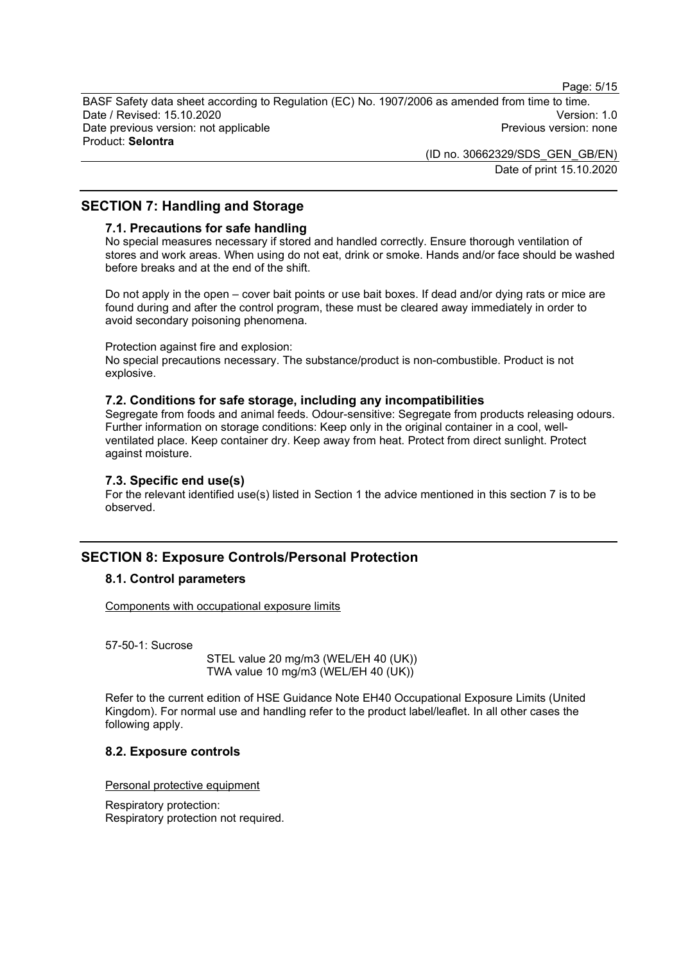Page: 5/15

BASF Safety data sheet according to Regulation (EC) No. 1907/2006 as amended from time to time. Date / Revised: 15.10.2020<br>Date previous version: not applicable  $\qquad \qquad$  Previous version: none Date previous version: not applicable Product: **Selontra**

> (ID no. 30662329/SDS\_GEN\_GB/EN) Date of print 15.10.2020

## **SECTION 7: Handling and Storage**

#### **7.1. Precautions for safe handling**

No special measures necessary if stored and handled correctly. Ensure thorough ventilation of stores and work areas. When using do not eat, drink or smoke. Hands and/or face should be washed before breaks and at the end of the shift.

Do not apply in the open – cover bait points or use bait boxes. If dead and/or dying rats or mice are found during and after the control program, these must be cleared away immediately in order to avoid secondary poisoning phenomena.

Protection against fire and explosion:

No special precautions necessary. The substance/product is non-combustible. Product is not explosive.

#### **7.2. Conditions for safe storage, including any incompatibilities**

Segregate from foods and animal feeds. Odour-sensitive: Segregate from products releasing odours. Further information on storage conditions: Keep only in the original container in a cool, wellventilated place. Keep container dry. Keep away from heat. Protect from direct sunlight. Protect against moisture.

#### **7.3. Specific end use(s)**

For the relevant identified use(s) listed in Section 1 the advice mentioned in this section 7 is to be observed.

## **SECTION 8: Exposure Controls/Personal Protection**

#### **8.1. Control parameters**

Components with occupational exposure limits

57-50-1: Sucrose

STEL value 20 mg/m3 (WEL/EH 40 (UK)) TWA value 10 mg/m3 (WEL/EH 40 (UK))

Refer to the current edition of HSE Guidance Note EH40 Occupational Exposure Limits (United Kingdom). For normal use and handling refer to the product label/leaflet. In all other cases the following apply.

#### **8.2. Exposure controls**

Personal protective equipment

Respiratory protection: Respiratory protection not required.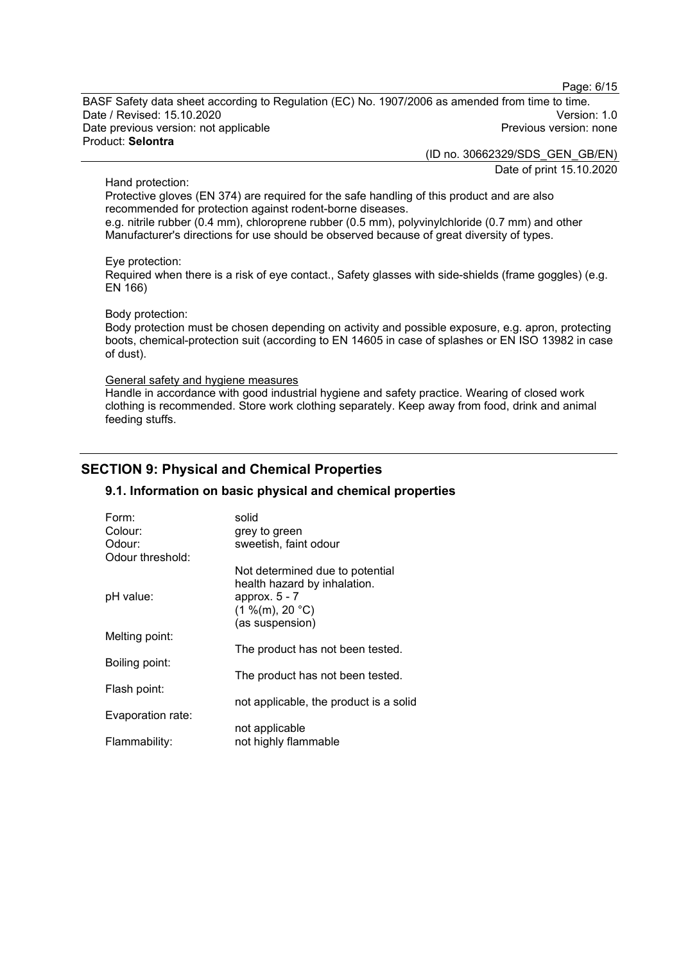Page: 6/15

BASF Safety data sheet according to Regulation (EC) No. 1907/2006 as amended from time to time. Date / Revised: 15.10.2020<br>Date previous version: not applicable  $\qquad \qquad$  Previous version: none Date previous version: not applicable Product: **Selontra**

(ID no. 30662329/SDS\_GEN\_GB/EN)

Date of print 15.10.2020

#### Hand protection:

Protective gloves (EN 374) are required for the safe handling of this product and are also recommended for protection against rodent-borne diseases.

e.g. nitrile rubber (0.4 mm), chloroprene rubber (0.5 mm), polyvinylchloride (0.7 mm) and other Manufacturer's directions for use should be observed because of great diversity of types.

#### Eye protection:

Required when there is a risk of eye contact., Safety glasses with side-shields (frame goggles) (e.g. EN 166)

#### Body protection:

Body protection must be chosen depending on activity and possible exposure, e.g. apron, protecting boots, chemical-protection suit (according to EN 14605 in case of splashes or EN ISO 13982 in case of dust).

#### General safety and hygiene measures

Handle in accordance with good industrial hygiene and safety practice. Wearing of closed work clothing is recommended. Store work clothing separately. Keep away from food, drink and animal feeding stuffs.

## **SECTION 9: Physical and Chemical Properties**

#### **9.1. Information on basic physical and chemical properties**

| Form:             | solid                                                                              |
|-------------------|------------------------------------------------------------------------------------|
| Colour:           | grey to green                                                                      |
| Odour:            | sweetish, faint odour                                                              |
| Odour threshold:  |                                                                                    |
| pH value:         | Not determined due to potential<br>health hazard by inhalation.<br>approx. $5 - 7$ |
|                   | (1 %(m), 20 °C)                                                                    |
|                   | (as suspension)                                                                    |
| Melting point:    |                                                                                    |
|                   | The product has not been tested.                                                   |
| Boiling point:    |                                                                                    |
|                   | The product has not been tested.                                                   |
| Flash point:      |                                                                                    |
|                   | not applicable, the product is a solid                                             |
| Evaporation rate: |                                                                                    |
|                   | not applicable                                                                     |
| Flammability:     | not highly flammable                                                               |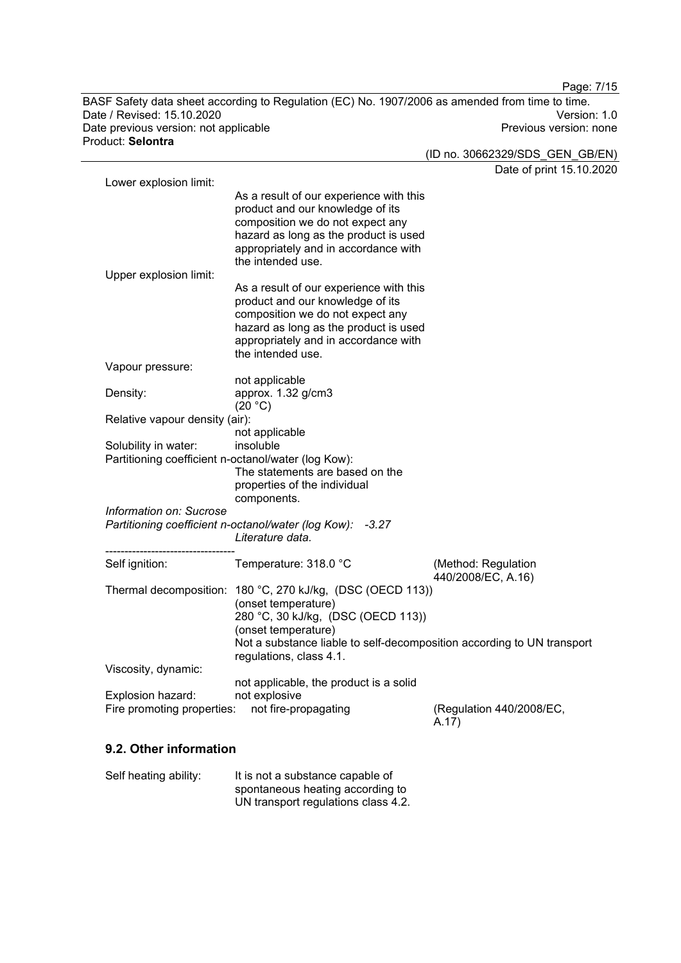BASF Safety data sheet according to Regulation (EC) No. 1907/2006 as amended from time to time. Date / Revised: 15.10.2020<br>Date previous version: not applicable  $\qquad \qquad$   $\qquad \qquad$  Previous version: none Date previous version: not applicable Product: **Selontra**

Page: 7/15

(ID no. 30662329/SDS\_GEN\_GB/EN) Date of print 15.10.2020 Lower explosion limit: As a result of our experience with this product and our knowledge of its composition we do not expect any hazard as long as the product is used appropriately and in accordance with the intended use. Upper explosion limit: As a result of our experience with this product and our knowledge of its composition we do not expect any hazard as long as the product is used appropriately and in accordance with the intended use. Vapour pressure: not applicable Density: approx. 1.32 g/cm3  $(20 °C)$ Relative vapour density (air): not applicable Solubility in water: Partitioning coefficient n-octanol/water (log Kow): The statements are based on the properties of the individual components. *Information on: Sucrose Partitioning coefficient n-octanol/water (log Kow): -3.27 Literature data.* ---------------------------------- Self ignition: Temperature: 318.0 °C (Method: Regulation 440/2008/EC, A.16) Thermal decomposition: 180 °C, 270 kJ/kg, (DSC (OECD 113)) (onset temperature) 280 °C, 30 kJ/kg, (DSC (OECD 113)) (onset temperature) Not a substance liable to self-decomposition according to UN transport regulations, class 4.1. Viscosity, dynamic: not applicable, the product is a solid Explosion hazard: not explosive<br>Fire promoting properties: not fire-propagating Fire promoting properties: not fire-propagating (Regulation 440/2008/EC, A.17)

#### **9.2. Other information**

| Self heating ability: | It is not a substance capable of    |
|-----------------------|-------------------------------------|
|                       | spontaneous heating according to    |
|                       | UN transport regulations class 4.2. |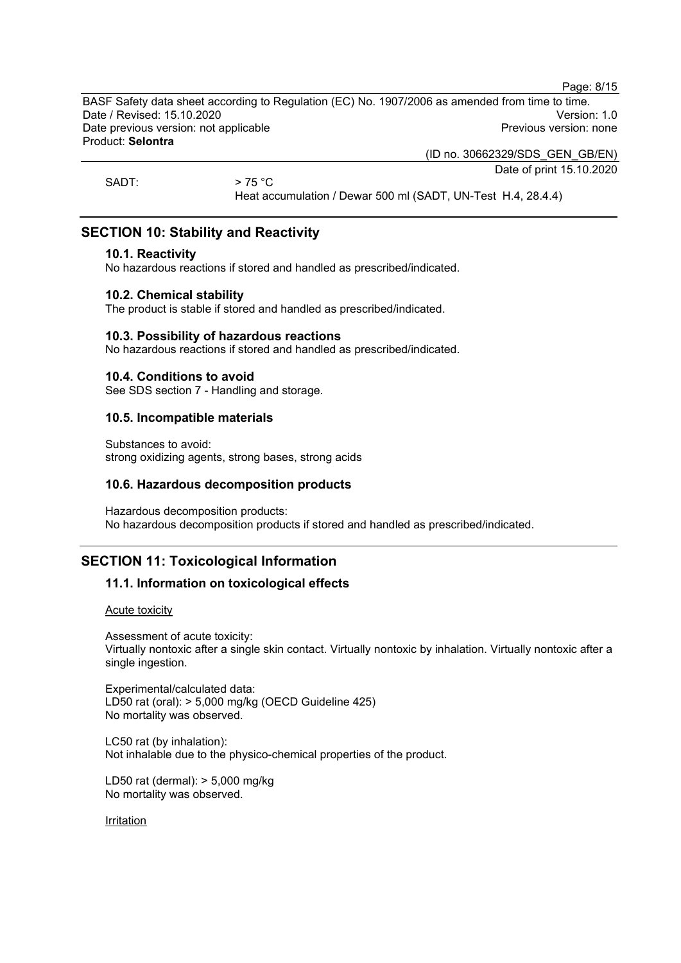Page: 8/15

BASF Safety data sheet according to Regulation (EC) No. 1907/2006 as amended from time to time. Date / Revised: 15.10.2020<br>Date previous version: not applicable  $\qquad \qquad$  Previous version: none Date previous version: not applicable Product: **Selontra**

(ID no. 30662329/SDS\_GEN\_GB/EN)

Date of print 15.10.2020

SADT:  $> 75 \degree C$ 

Heat accumulation / Dewar 500 ml (SADT, UN-Test H.4, 28.4.4)

## **SECTION 10: Stability and Reactivity**

#### **10.1. Reactivity**

No hazardous reactions if stored and handled as prescribed/indicated.

#### **10.2. Chemical stability**

The product is stable if stored and handled as prescribed/indicated.

#### **10.3. Possibility of hazardous reactions**

No hazardous reactions if stored and handled as prescribed/indicated.

#### **10.4. Conditions to avoid**

See SDS section 7 - Handling and storage.

#### **10.5. Incompatible materials**

Substances to avoid: strong oxidizing agents, strong bases, strong acids

#### **10.6. Hazardous decomposition products**

Hazardous decomposition products: No hazardous decomposition products if stored and handled as prescribed/indicated.

## **SECTION 11: Toxicological Information**

## **11.1. Information on toxicological effects**

Acute toxicity

Assessment of acute toxicity: Virtually nontoxic after a single skin contact. Virtually nontoxic by inhalation. Virtually nontoxic after a single ingestion.

Experimental/calculated data: LD50 rat (oral): > 5,000 mg/kg (OECD Guideline 425) No mortality was observed.

LC50 rat (by inhalation): Not inhalable due to the physico-chemical properties of the product.

LD50 rat (dermal): > 5,000 mg/kg No mortality was observed.

Irritation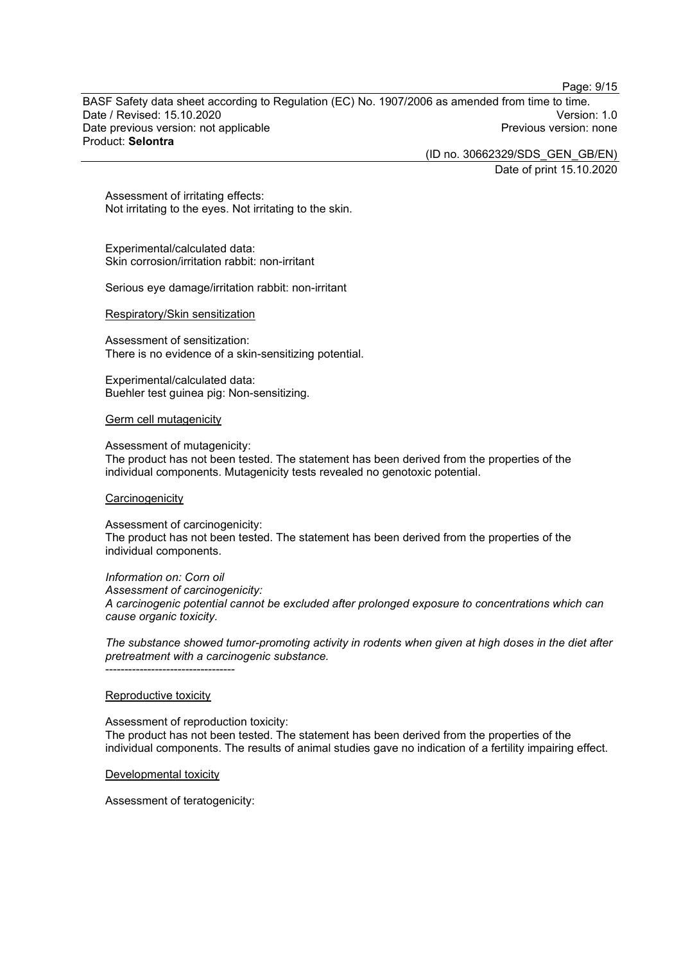Page: 9/15

BASF Safety data sheet according to Regulation (EC) No. 1907/2006 as amended from time to time. Date / Revised: 15.10.2020<br>Date previous version: not applicable  $\qquad \qquad$   $\qquad \qquad$  Previous version: none Date previous version: not applicable Product: **Selontra**

(ID no. 30662329/SDS\_GEN\_GB/EN)

Date of print 15.10.2020

Assessment of irritating effects: Not irritating to the eyes. Not irritating to the skin.

Experimental/calculated data: Skin corrosion/irritation rabbit: non-irritant

Serious eye damage/irritation rabbit: non-irritant

#### Respiratory/Skin sensitization

Assessment of sensitization: There is no evidence of a skin-sensitizing potential.

Experimental/calculated data: Buehler test guinea pig: Non-sensitizing.

#### Germ cell mutagenicity

Assessment of mutagenicity:

The product has not been tested. The statement has been derived from the properties of the individual components. Mutagenicity tests revealed no genotoxic potential.

#### **Carcinogenicity**

Assessment of carcinogenicity: The product has not been tested. The statement has been derived from the properties of the individual components.

*Information on: Corn oil Assessment of carcinogenicity: A carcinogenic potential cannot be excluded after prolonged exposure to concentrations which can cause organic toxicity.*

*The substance showed tumor-promoting activity in rodents when given at high doses in the diet after pretreatment with a carcinogenic substance.* ----------------------------------

#### Reproductive toxicity

Assessment of reproduction toxicity: The product has not been tested. The statement has been derived from the properties of the individual components. The results of animal studies gave no indication of a fertility impairing effect.

Developmental toxicity

Assessment of teratogenicity: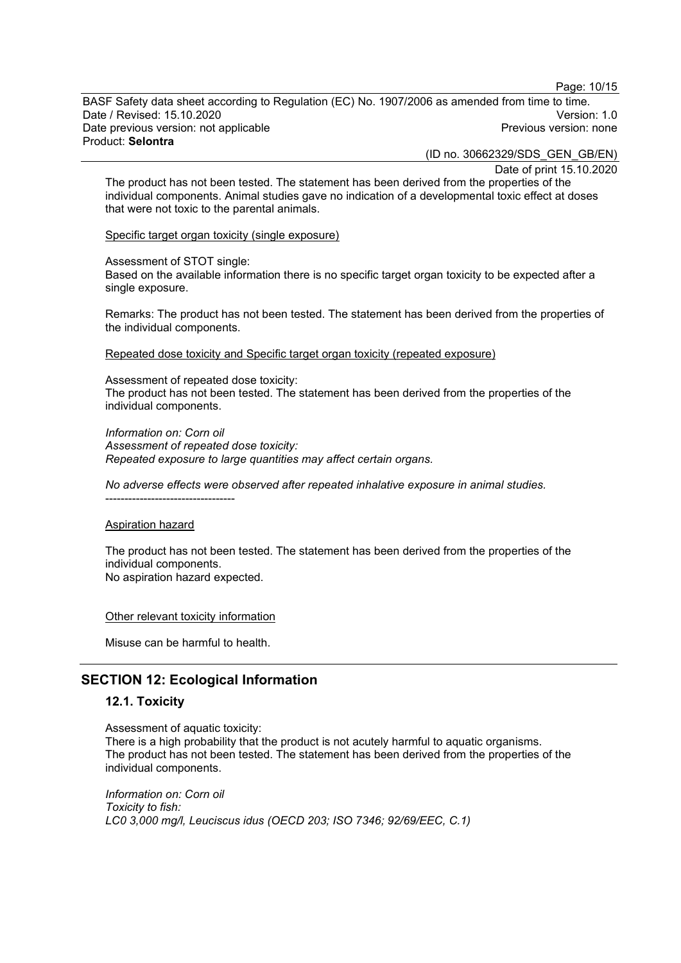Page: 10/15

BASF Safety data sheet according to Regulation (EC) No. 1907/2006 as amended from time to time. Date / Revised: 15.10.2020<br>Date previous version: not applicable  $\qquad \qquad$   $\qquad \qquad$  Previous version: none Date previous version: not applicable Product: **Selontra**

(ID no. 30662329/SDS\_GEN\_GB/EN)

Date of print 15.10.2020

The product has not been tested. The statement has been derived from the properties of the individual components. Animal studies gave no indication of a developmental toxic effect at doses that were not toxic to the parental animals.

Specific target organ toxicity (single exposure)

Assessment of STOT single:

Based on the available information there is no specific target organ toxicity to be expected after a single exposure.

Remarks: The product has not been tested. The statement has been derived from the properties of the individual components.

Repeated dose toxicity and Specific target organ toxicity (repeated exposure)

Assessment of repeated dose toxicity: The product has not been tested. The statement has been derived from the properties of the individual components.

*Information on: Corn oil Assessment of repeated dose toxicity: Repeated exposure to large quantities may affect certain organs.*

*No adverse effects were observed after repeated inhalative exposure in animal studies.*

----------------------------------

Aspiration hazard

The product has not been tested. The statement has been derived from the properties of the individual components. No aspiration hazard expected.

Other relevant toxicity information

Misuse can be harmful to health.

## **SECTION 12: Ecological Information**

#### **12.1. Toxicity**

Assessment of aquatic toxicity: There is a high probability that the product is not acutely harmful to aquatic organisms. The product has not been tested. The statement has been derived from the properties of the individual components.

*Information on: Corn oil Toxicity to fish: LC0 3,000 mg/l, Leuciscus idus (OECD 203; ISO 7346; 92/69/EEC, C.1)*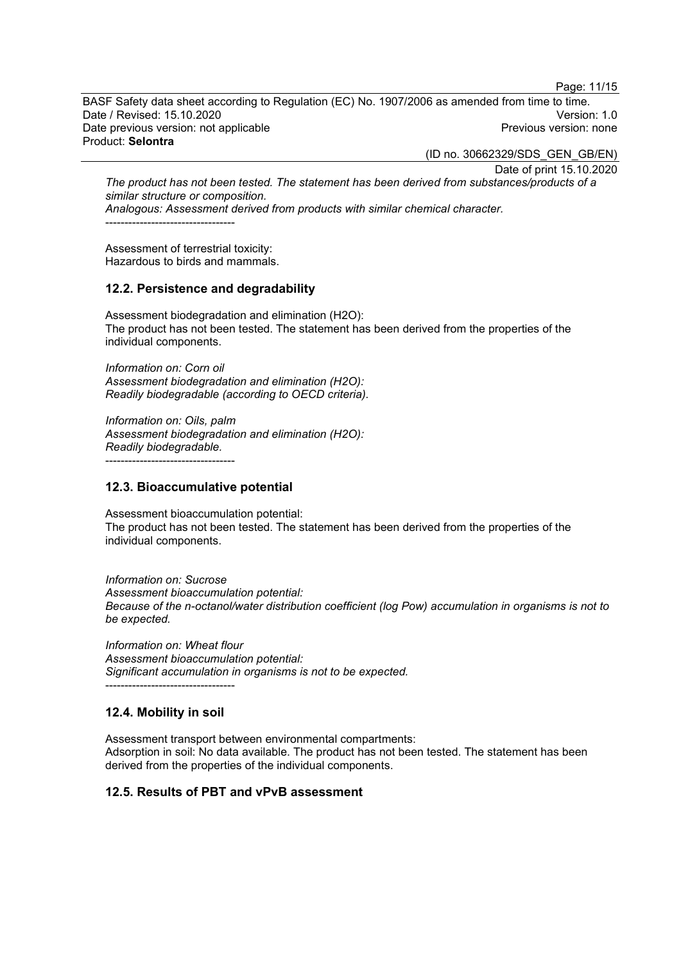Page: 11/15

BASF Safety data sheet according to Regulation (EC) No. 1907/2006 as amended from time to time. Date / Revised: 15.10.2020<br>Date previous version: not applicable  $\qquad \qquad$   $\qquad \qquad$  Previous version: none Date previous version: not applicable Product: **Selontra**

(ID no. 30662329/SDS\_GEN\_GB/EN)

Date of print 15.10.2020

*The product has not been tested. The statement has been derived from substances/products of a similar structure or composition. Analogous: Assessment derived from products with similar chemical character.*

----------------------------------

Assessment of terrestrial toxicity: Hazardous to birds and mammals.

#### **12.2. Persistence and degradability**

Assessment biodegradation and elimination (H2O): The product has not been tested. The statement has been derived from the properties of the individual components.

*Information on: Corn oil Assessment biodegradation and elimination (H2O): Readily biodegradable (according to OECD criteria).*

*Information on: Oils, palm Assessment biodegradation and elimination (H2O): Readily biodegradable.*

----------------------------------

#### **12.3. Bioaccumulative potential**

Assessment bioaccumulation potential: The product has not been tested. The statement has been derived from the properties of the individual components.

*Information on: Sucrose Assessment bioaccumulation potential: Because of the n-octanol/water distribution coefficient (log Pow) accumulation in organisms is not to be expected.*

*Information on: Wheat flour Assessment bioaccumulation potential: Significant accumulation in organisms is not to be expected.* ----------------------------------

## **12.4. Mobility in soil**

Assessment transport between environmental compartments: Adsorption in soil: No data available. The product has not been tested. The statement has been derived from the properties of the individual components.

#### **12.5. Results of PBT and vPvB assessment**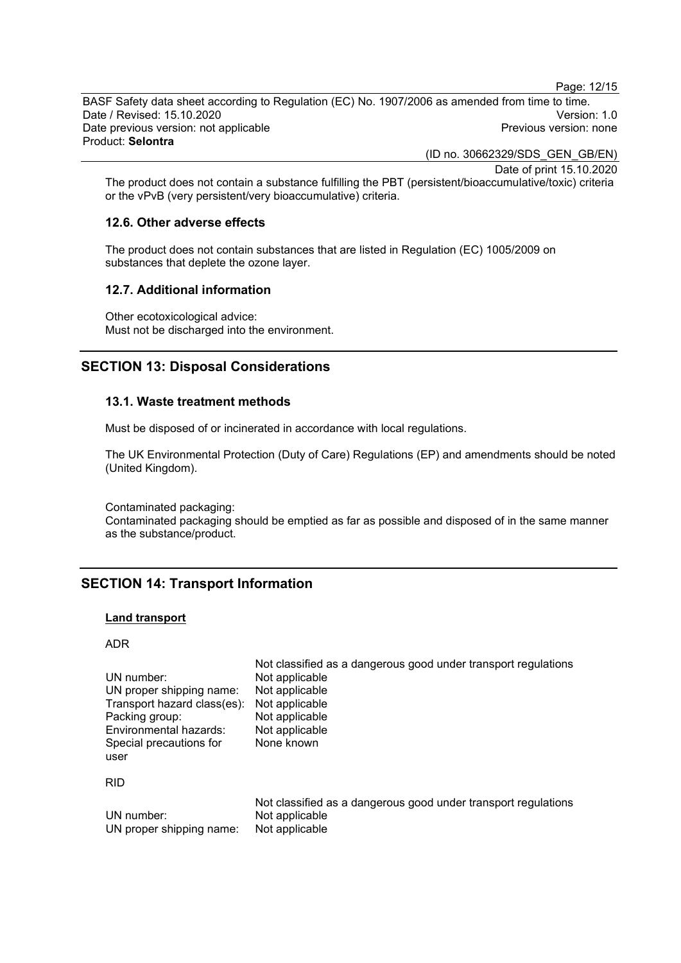Page: 12/15

BASF Safety data sheet according to Regulation (EC) No. 1907/2006 as amended from time to time. Date / Revised: 15.10.2020<br>Date previous version: not applicable  $\qquad \qquad$   $\qquad \qquad$  Previous version: none Date previous version: not applicable Product: **Selontra**

(ID no. 30662329/SDS\_GEN\_GB/EN)

Date of print 15.10.2020

The product does not contain a substance fulfilling the PBT (persistent/bioaccumulative/toxic) criteria or the vPvB (very persistent/very bioaccumulative) criteria.

#### **12.6. Other adverse effects**

The product does not contain substances that are listed in Regulation (EC) 1005/2009 on substances that deplete the ozone layer.

#### **12.7. Additional information**

Other ecotoxicological advice: Must not be discharged into the environment.

## **SECTION 13: Disposal Considerations**

#### **13.1. Waste treatment methods**

Must be disposed of or incinerated in accordance with local regulations.

The UK Environmental Protection (Duty of Care) Regulations (EP) and amendments should be noted (United Kingdom).

Contaminated packaging: Contaminated packaging should be emptied as far as possible and disposed of in the same manner as the substance/product.

## **SECTION 14: Transport Information**

#### **Land transport**

ADR

| UN number:<br>UN proper shipping name: | Not classified as a dangerous good under transport regulations<br>Not applicable<br>Not applicable |
|----------------------------------------|----------------------------------------------------------------------------------------------------|
| Transport hazard class(es):            | Not applicable                                                                                     |
| Packing group:                         | Not applicable                                                                                     |
| Environmental hazards:                 | Not applicable                                                                                     |
| Special precautions for<br>user        | None known                                                                                         |
| <b>RID</b>                             |                                                                                                    |
| UN number:<br>UN proper shipping name: | Not classified as a dangerous good under transport regulations<br>Not applicable<br>Not applicable |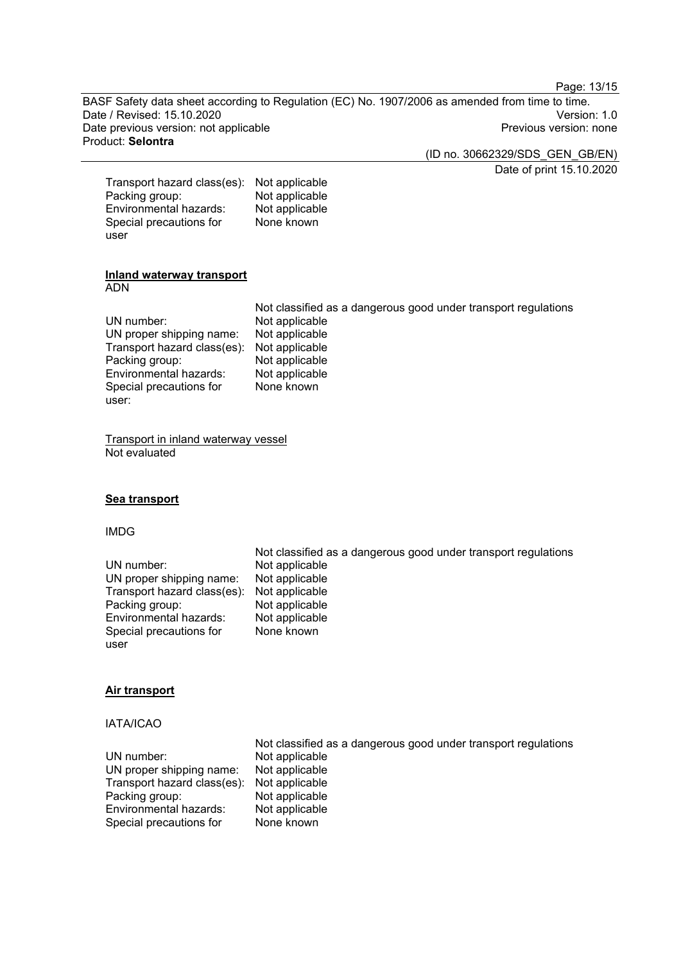Page: 13/15

BASF Safety data sheet according to Regulation (EC) No. 1907/2006 as amended from time to time. Date / Revised: 15.10.2020<br>Date previous version: not applicable  $\overline{a}$  and  $\overline{a}$  are  $\overline{a}$  and  $\overline{a}$  are  $\overline{a}$  are  $\overline{a}$  and  $\overline{a}$  are  $\overline{a}$  are  $\overline{a}$  are  $\overline{a}$  and  $\overline{a}$  are  $\overline{a}$  are Date previous version: not applicable Product: **Selontra**

(ID no. 30662329/SDS\_GEN\_GB/EN)

Date of print 15.10.2020

| Transport hazard class(es): | Not applicable |
|-----------------------------|----------------|
| Packing group:              | Not applicable |
| Environmental hazards:      | Not applicable |
| Special precautions for     | None known     |
| user                        |                |

#### **Inland waterway transport** ADN

|                                            | Not classified as a dangerous good under transport regulations |
|--------------------------------------------|----------------------------------------------------------------|
| UN number:                                 | Not applicable                                                 |
| UN proper shipping name:                   | Not applicable                                                 |
| Transport hazard class(es): Not applicable |                                                                |
| Packing group:                             | Not applicable                                                 |
| Environmental hazards:                     | Not applicable                                                 |
| Special precautions for                    | None known                                                     |
| user:                                      |                                                                |

Transport in inland waterway vessel Not evaluated

#### **Sea transport**

#### IMDG

|                                            | Not classified as a dangerous good under transport regulations |
|--------------------------------------------|----------------------------------------------------------------|
| UN number:                                 | Not applicable                                                 |
| UN proper shipping name:                   | Not applicable                                                 |
| Transport hazard class(es): Not applicable |                                                                |
| Packing group:                             | Not applicable                                                 |
| Environmental hazards:                     | Not applicable                                                 |
| Special precautions for                    | None known                                                     |
| user                                       |                                                                |

#### **Air transport**

#### IATA/ICAO

|                                            | Not classified as a dangerous good under transport regulations |
|--------------------------------------------|----------------------------------------------------------------|
| UN number:                                 | Not applicable                                                 |
| UN proper shipping name:                   | Not applicable                                                 |
| Transport hazard class(es): Not applicable |                                                                |
| Packing group:                             | Not applicable                                                 |
| Environmental hazards:                     | Not applicable                                                 |
| Special precautions for                    | None known                                                     |
|                                            |                                                                |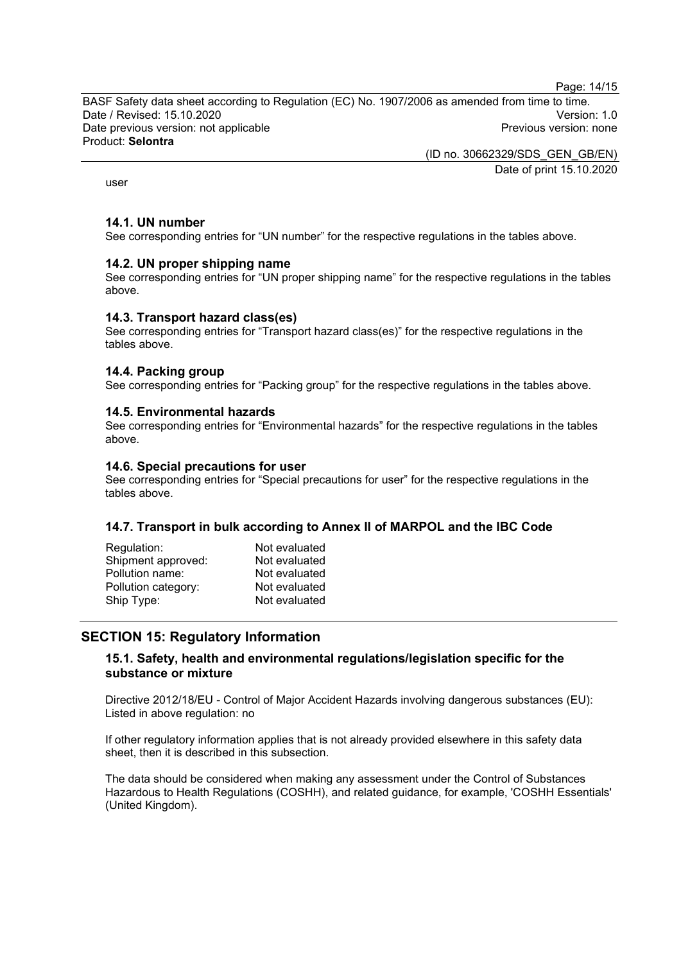Page: 14/15

BASF Safety data sheet according to Regulation (EC) No. 1907/2006 as amended from time to time. Date / Revised: 15.10.2020<br>Date previous version: not applicable  $\qquad \qquad$   $\qquad \qquad$  Previous version: none Date previous version: not applicable Product: **Selontra**

(ID no. 30662329/SDS\_GEN\_GB/EN)

Date of print 15.10.2020

user

#### **14.1. UN number**

See corresponding entries for "UN number" for the respective regulations in the tables above.

#### **14.2. UN proper shipping name**

See corresponding entries for "UN proper shipping name" for the respective regulations in the tables above.

#### **14.3. Transport hazard class(es)**

See corresponding entries for "Transport hazard class(es)" for the respective regulations in the tables above.

#### **14.4. Packing group**

See corresponding entries for "Packing group" for the respective regulations in the tables above.

#### **14.5. Environmental hazards**

See corresponding entries for "Environmental hazards" for the respective regulations in the tables above.

#### **14.6. Special precautions for user**

See corresponding entries for "Special precautions for user" for the respective regulations in the tables above.

#### **14.7. Transport in bulk according to Annex II of MARPOL and the IBC Code**

| Not evaluated |
|---------------|
| Not evaluated |
| Not evaluated |
| Not evaluated |
| Not evaluated |
|               |

## **SECTION 15: Regulatory Information**

#### **15.1. Safety, health and environmental regulations/legislation specific for the substance or mixture**

Directive 2012/18/EU - Control of Major Accident Hazards involving dangerous substances (EU): Listed in above regulation: no

If other regulatory information applies that is not already provided elsewhere in this safety data sheet, then it is described in this subsection.

The data should be considered when making any assessment under the Control of Substances Hazardous to Health Regulations (COSHH), and related guidance, for example, 'COSHH Essentials' (United Kingdom).